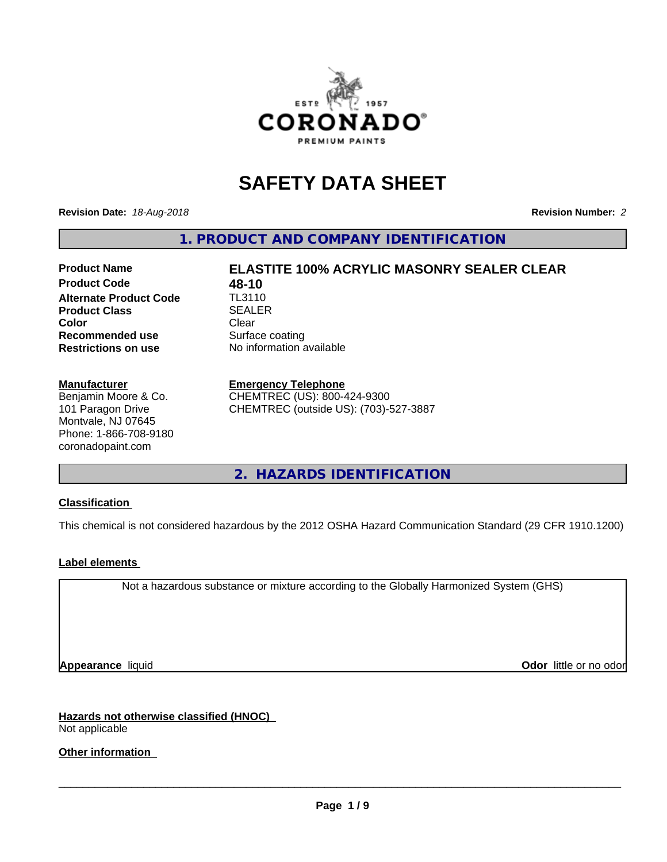

# **SAFETY DATA SHEET**

**Revision Date:** *18-Aug-2018* **Revision Number:** *2*

**1. PRODUCT AND COMPANY IDENTIFICATION**

# **Product Name ELASTITE 100% ACRYLIC MASONRY SEALER CLEAR**

**Product Code 48-10**<br>**Alternate Product Code 11-3110 Alternate Product Code Product Class SEALER Color** Clear Clear **Recommended use** Surface coating **Restrictions on use** No information available

#### **Manufacturer**

Benjamin Moore & Co. 101 Paragon Drive Montvale, NJ 07645 Phone: 1-866-708-9180 coronadopaint.com

#### **Emergency Telephone**

CHEMTREC (US): 800-424-9300 CHEMTREC (outside US): (703)-527-3887

**2. HAZARDS IDENTIFICATION**

#### **Classification**

This chemical is not considered hazardous by the 2012 OSHA Hazard Communication Standard (29 CFR 1910.1200)

#### **Label elements**

Not a hazardous substance or mixture according to the Globally Harmonized System (GHS)

**Appearance** liquid **Contract Contract Contract Contract Contract Contract Contract Contract Contract Contract Contract Contract Contract Contract Contract Contract Contract Contract Contract Contract Contract Contract Con** 

**Hazards not otherwise classified (HNOC)** Not applicable

**Other information**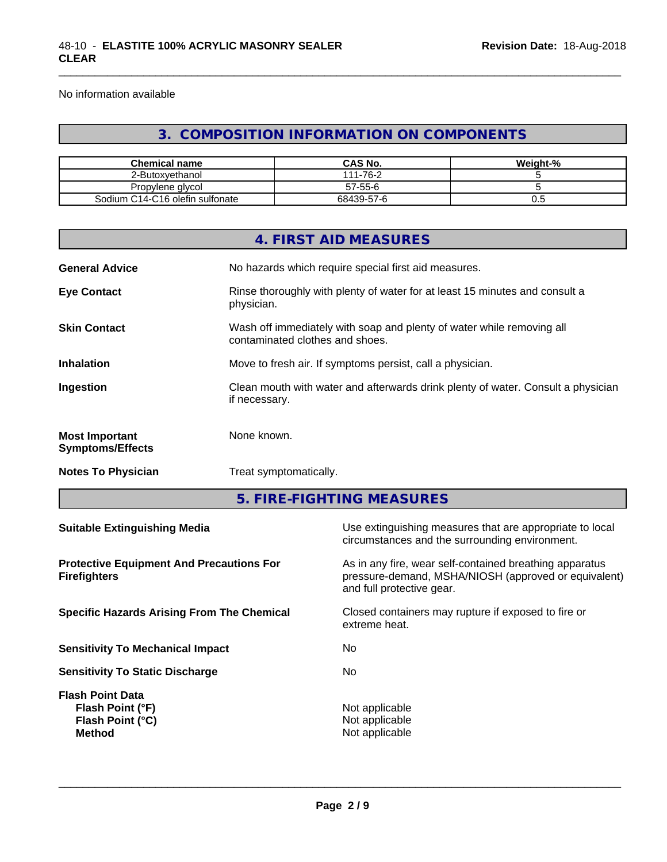No information available

# **3. COMPOSITION INFORMATION ON COMPONENTS**

\_\_\_\_\_\_\_\_\_\_\_\_\_\_\_\_\_\_\_\_\_\_\_\_\_\_\_\_\_\_\_\_\_\_\_\_\_\_\_\_\_\_\_\_\_\_\_\_\_\_\_\_\_\_\_\_\_\_\_\_\_\_\_\_\_\_\_\_\_\_\_\_\_\_\_\_\_\_\_\_\_\_\_\_\_\_\_\_\_\_\_\_\_

| <b>Chemical name</b>            | <b>CAS No.</b>      | Weight-% |
|---------------------------------|---------------------|----------|
| 2-Butoxvethanol                 | $1 - 76 - 2$<br>444 |          |
| Propylene givcol                | 57-55-6             |          |
| Sodium C14-C16 olefin sulfonate | 68439-57-6          | v.J      |

|                                                                        |                        | <b>4. FIRST AID MEASURES</b>                                                                                                                 |  |  |
|------------------------------------------------------------------------|------------------------|----------------------------------------------------------------------------------------------------------------------------------------------|--|--|
| <b>General Advice</b>                                                  |                        | No hazards which require special first aid measures.                                                                                         |  |  |
| <b>Eye Contact</b>                                                     | physician.             | Rinse thoroughly with plenty of water for at least 15 minutes and consult a                                                                  |  |  |
| <b>Skin Contact</b>                                                    |                        | Wash off immediately with soap and plenty of water while removing all<br>contaminated clothes and shoes.                                     |  |  |
| <b>Inhalation</b>                                                      |                        | Move to fresh air. If symptoms persist, call a physician.                                                                                    |  |  |
| Ingestion                                                              | if necessary.          | Clean mouth with water and afterwards drink plenty of water. Consult a physician                                                             |  |  |
| <b>Most Important</b><br><b>Symptoms/Effects</b>                       | None known.            |                                                                                                                                              |  |  |
| <b>Notes To Physician</b>                                              | Treat symptomatically. |                                                                                                                                              |  |  |
|                                                                        |                        | 5. FIRE-FIGHTING MEASURES                                                                                                                    |  |  |
| <b>Suitable Extinguishing Media</b>                                    |                        | Use extinguishing measures that are appropriate to local<br>circumstances and the surrounding environment.                                   |  |  |
| <b>Protective Equipment And Precautions For</b><br><b>Firefighters</b> |                        | As in any fire, wear self-contained breathing apparatus<br>pressure-demand, MSHA/NIOSH (approved or equivalent)<br>and full protective gear. |  |  |
| <b>Specific Hazards Arising From The Chemical</b>                      |                        | Closed containers may rupture if exposed to fire or<br>extreme heat.                                                                         |  |  |
| <b>Sensitivity To Mechanical Impact</b>                                |                        | No.                                                                                                                                          |  |  |
|                                                                        |                        |                                                                                                                                              |  |  |

**Flash Point Data**

**Sensitivity To Static Discharge** Mo

**Flash Point (°F)**<br> **Flash Point (°C)**<br> **Flash Point (°C)**<br> **CO Flash Point (°C) Method** Not applicable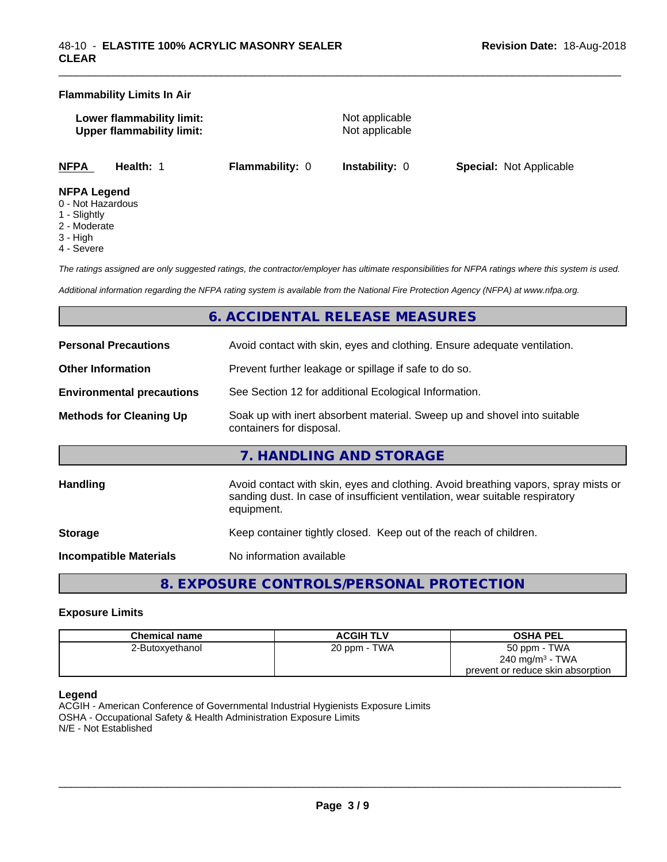#### **Flammability Limits In Air**

| Lower flammability limit:        |  |
|----------------------------------|--|
| <b>Upper flammability limit:</b> |  |

**Not applicable Not applicable** 

\_\_\_\_\_\_\_\_\_\_\_\_\_\_\_\_\_\_\_\_\_\_\_\_\_\_\_\_\_\_\_\_\_\_\_\_\_\_\_\_\_\_\_\_\_\_\_\_\_\_\_\_\_\_\_\_\_\_\_\_\_\_\_\_\_\_\_\_\_\_\_\_\_\_\_\_\_\_\_\_\_\_\_\_\_\_\_\_\_\_\_\_\_

**NFPA Health:** 1 **Flammability:** 0 **Instability:** 0 **Special:** Not Applicable

#### **NFPA Legend**

- 0 Not Hazardous
- 1 Slightly
- 2 Moderate
- 3 High
- 4 Severe

*The ratings assigned are only suggested ratings, the contractor/employer has ultimate responsibilities for NFPA ratings where this system is used.*

*Additional information regarding the NFPA rating system is available from the National Fire Protection Agency (NFPA) at www.nfpa.org.*

# **6. ACCIDENTAL RELEASE MEASURES**

| <b>Personal Precautions</b>      | Avoid contact with skin, eyes and clothing. Ensure adequate ventilation.                                                                                                         |
|----------------------------------|----------------------------------------------------------------------------------------------------------------------------------------------------------------------------------|
| <b>Other Information</b>         | Prevent further leakage or spillage if safe to do so.                                                                                                                            |
| <b>Environmental precautions</b> | See Section 12 for additional Ecological Information.                                                                                                                            |
| <b>Methods for Cleaning Up</b>   | Soak up with inert absorbent material. Sweep up and shovel into suitable<br>containers for disposal.                                                                             |
|                                  | 7. HANDLING AND STORAGE                                                                                                                                                          |
| <b>Handling</b>                  | Avoid contact with skin, eyes and clothing. Avoid breathing vapors, spray mists or<br>sanding dust. In case of insufficient ventilation, wear suitable respiratory<br>equipment. |
| <b>Storage</b>                   | Keep container tightly closed. Keep out of the reach of children.                                                                                                                |
| Incompatible Materials           | No information available                                                                                                                                                         |

# **8. EXPOSURE CONTROLS/PERSONAL PROTECTION**

#### **Exposure Limits**

| <b>Chemical name</b> | <b>ACGIH TLV</b> | <b>OSHA PEL</b>                   |
|----------------------|------------------|-----------------------------------|
| 2-Butoxyethanol      | 20 ppm - TWA     | 50 ppm - TWA                      |
|                      |                  | $240 \text{ mg/m}^3$ - TWA        |
|                      |                  | prevent or reduce skin absorption |

#### **Legend**

ACGIH - American Conference of Governmental Industrial Hygienists Exposure Limits OSHA - Occupational Safety & Health Administration Exposure Limits N/E - Not Established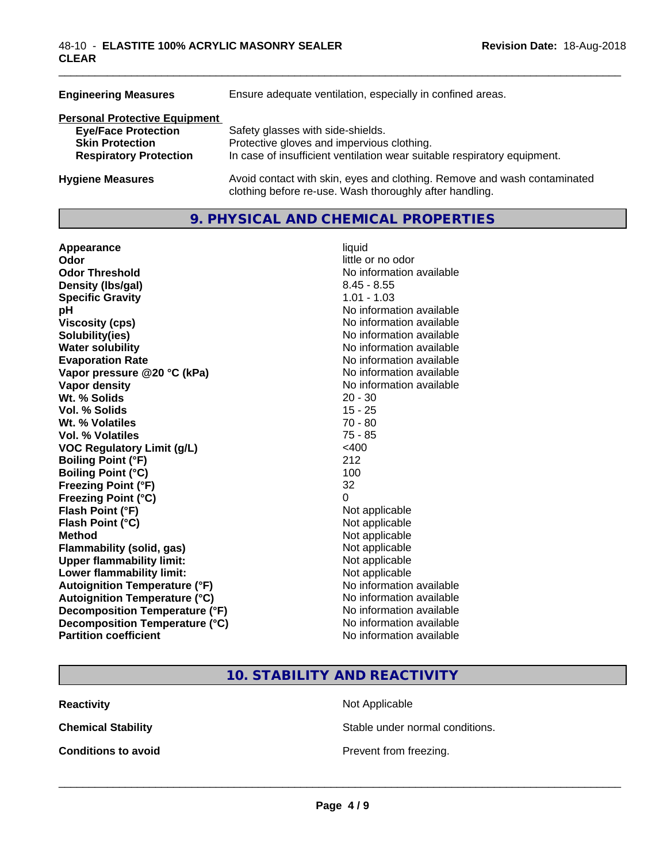| <b>Engineering Measures</b>                                                                                                   | Ensure adequate ventilation, especially in confined areas.                                                                                                  |  |  |
|-------------------------------------------------------------------------------------------------------------------------------|-------------------------------------------------------------------------------------------------------------------------------------------------------------|--|--|
| <b>Personal Protective Equipment</b><br><b>Eye/Face Protection</b><br><b>Skin Protection</b><br><b>Respiratory Protection</b> | Safety glasses with side-shields.<br>Protective gloves and impervious clothing.<br>In case of insufficient ventilation wear suitable respiratory equipment. |  |  |
| <b>Hygiene Measures</b>                                                                                                       | Avoid contact with skin, eyes and clothing. Remove and wash contaminated<br>clothing before re-use. Wash thoroughly after handling.                         |  |  |

# **9. PHYSICAL AND CHEMICAL PROPERTIES**

| Appearance                           | liquid                   |
|--------------------------------------|--------------------------|
| Odor                                 | little or no odor        |
| <b>Odor Threshold</b>                | No information available |
| Density (Ibs/gal)                    | $8.45 - 8.55$            |
| <b>Specific Gravity</b>              | $1.01 - 1.03$            |
| рH                                   | No information available |
| <b>Viscosity (cps)</b>               | No information available |
| Solubility(ies)                      | No information available |
| <b>Water solubility</b>              | No information available |
| <b>Evaporation Rate</b>              | No information available |
| Vapor pressure @20 °C (kPa)          | No information available |
| Vapor density                        | No information available |
| Wt. % Solids                         | $20 - 30$                |
| <b>Vol. % Solids</b>                 | $15 - 25$                |
| Wt. % Volatiles                      | $70 - 80$                |
| Vol. % Volatiles                     | 75 - 85                  |
| <b>VOC Regulatory Limit (g/L)</b>    | $<$ 400                  |
| <b>Boiling Point (°F)</b>            | 212                      |
| <b>Boiling Point (°C)</b>            | 100                      |
| <b>Freezing Point (°F)</b>           | 32                       |
| <b>Freezing Point (°C)</b>           | 0                        |
| Flash Point (°F)                     | Not applicable           |
| Flash Point (°C)                     | Not applicable           |
| <b>Method</b>                        | Not applicable           |
| <b>Flammability (solid, gas)</b>     | Not applicable           |
| <b>Upper flammability limit:</b>     | Not applicable           |
| Lower flammability limit:            | Not applicable           |
| <b>Autoignition Temperature (°F)</b> | No information available |
| <b>Autoignition Temperature (°C)</b> | No information available |
| Decomposition Temperature (°F)       | No information available |
| Decomposition Temperature (°C)       | No information available |
| <b>Partition coefficient</b>         | No information available |

\_\_\_\_\_\_\_\_\_\_\_\_\_\_\_\_\_\_\_\_\_\_\_\_\_\_\_\_\_\_\_\_\_\_\_\_\_\_\_\_\_\_\_\_\_\_\_\_\_\_\_\_\_\_\_\_\_\_\_\_\_\_\_\_\_\_\_\_\_\_\_\_\_\_\_\_\_\_\_\_\_\_\_\_\_\_\_\_\_\_\_\_\_

# **10. STABILITY AND REACTIVITY**

**Reactivity** Not Applicable

**Chemical Stability Stable under normal conditions.** 

**Conditions to avoid Conditions to avoid Prevent from freezing.**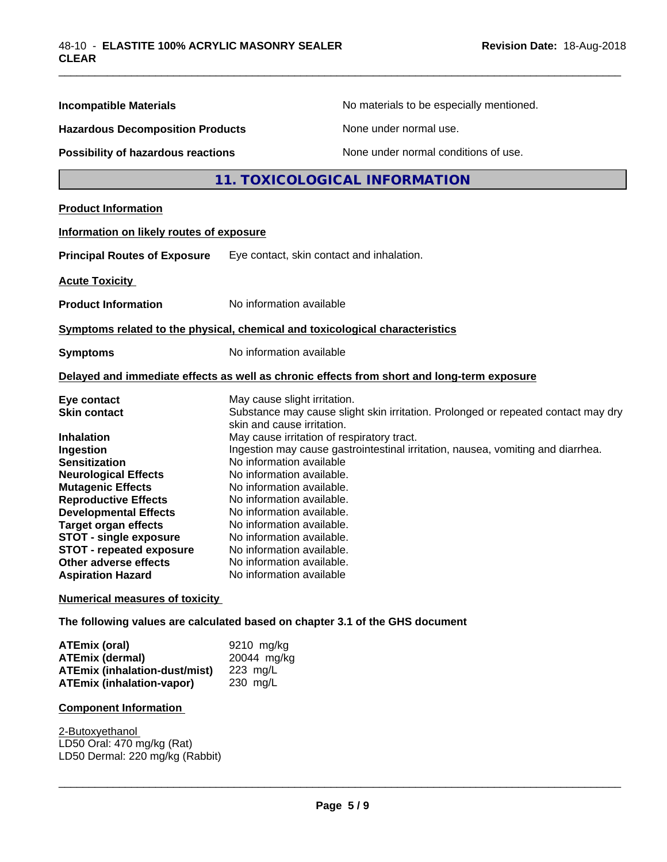| <b>Incompatible Materials</b>                            | No materials to be especially mentioned.                                                                        |
|----------------------------------------------------------|-----------------------------------------------------------------------------------------------------------------|
| <b>Hazardous Decomposition Products</b>                  | None under normal use.                                                                                          |
| Possibility of hazardous reactions                       | None under normal conditions of use.                                                                            |
|                                                          | 11. TOXICOLOGICAL INFORMATION                                                                                   |
| <b>Product Information</b>                               |                                                                                                                 |
| Information on likely routes of exposure                 |                                                                                                                 |
| <b>Principal Routes of Exposure</b>                      | Eye contact, skin contact and inhalation.                                                                       |
| <b>Acute Toxicity</b>                                    |                                                                                                                 |
| <b>Product Information</b>                               | No information available                                                                                        |
|                                                          | Symptoms related to the physical, chemical and toxicological characteristics                                    |
| <b>Symptoms</b>                                          | No information available                                                                                        |
|                                                          | Delayed and immediate effects as well as chronic effects from short and long-term exposure                      |
| Eye contact                                              | May cause slight irritation.                                                                                    |
| <b>Skin contact</b>                                      | Substance may cause slight skin irritation. Prolonged or repeated contact may dry<br>skin and cause irritation. |
| <b>Inhalation</b>                                        | May cause irritation of respiratory tract.                                                                      |
| Ingestion                                                | Ingestion may cause gastrointestinal irritation, nausea, vomiting and diarrhea.                                 |
| <b>Sensitization</b>                                     | No information available                                                                                        |
| <b>Neurological Effects</b>                              | No information available.                                                                                       |
| <b>Mutagenic Effects</b>                                 | No information available.                                                                                       |
| <b>Reproductive Effects</b>                              | No information available.                                                                                       |
| <b>Developmental Effects</b>                             | No information available.                                                                                       |
| <b>Target organ effects</b>                              | No information available.                                                                                       |
| <b>STOT - single exposure</b>                            | No information available.                                                                                       |
| <b>STOT - repeated exposure</b>                          | No information available.                                                                                       |
| <b>Other adverse effects</b><br><b>Aspiration Hazard</b> | No information available.<br>No information available                                                           |
| <b>Numerical measures of toxicity</b>                    |                                                                                                                 |
|                                                          | The following values are calculated based on chapter 3.1 of the GHS document                                    |
| <b>ATEmix (oral)</b>                                     | 9210 mg/kg                                                                                                      |
| <b>ATEmix (dermal)</b>                                   | 20044 mg/kg                                                                                                     |
| $ATEmiv$ (inhelation duct/mict) $.22 \text{ mol}$        |                                                                                                                 |

\_\_\_\_\_\_\_\_\_\_\_\_\_\_\_\_\_\_\_\_\_\_\_\_\_\_\_\_\_\_\_\_\_\_\_\_\_\_\_\_\_\_\_\_\_\_\_\_\_\_\_\_\_\_\_\_\_\_\_\_\_\_\_\_\_\_\_\_\_\_\_\_\_\_\_\_\_\_\_\_\_\_\_\_\_\_\_\_\_\_\_\_\_

**ATEmix (inhalation-dust/mist)** 223 mg/L **ATEmix** (inhalation-vapor)

# **Component Information**

2-Butoxyethanol LD50 Oral: 470 mg/kg (Rat) LD50 Dermal: 220 mg/kg (Rabbit)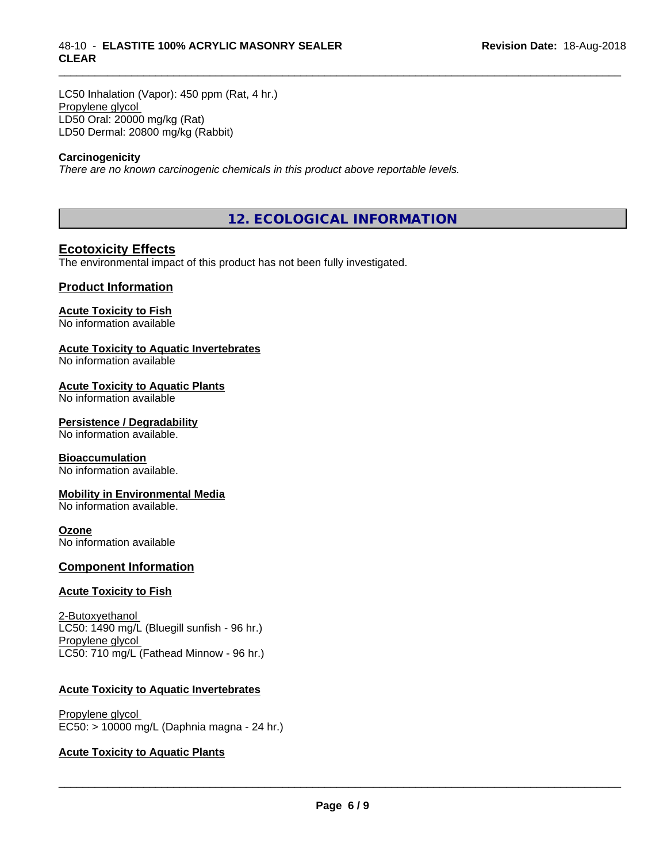LC50 Inhalation (Vapor): 450 ppm (Rat, 4 hr.) Propylene glycol LD50 Oral: 20000 mg/kg (Rat) LD50 Dermal: 20800 mg/kg (Rabbit)

#### **Carcinogenicity**

*There are no known carcinogenic chemicals in this product above reportable levels.*

**12. ECOLOGICAL INFORMATION**

\_\_\_\_\_\_\_\_\_\_\_\_\_\_\_\_\_\_\_\_\_\_\_\_\_\_\_\_\_\_\_\_\_\_\_\_\_\_\_\_\_\_\_\_\_\_\_\_\_\_\_\_\_\_\_\_\_\_\_\_\_\_\_\_\_\_\_\_\_\_\_\_\_\_\_\_\_\_\_\_\_\_\_\_\_\_\_\_\_\_\_\_\_

### **Ecotoxicity Effects**

The environmental impact of this product has not been fully investigated.

#### **Product Information**

### **Acute Toxicity to Fish**

No information available

#### **Acute Toxicity to Aquatic Invertebrates**

No information available

#### **Acute Toxicity to Aquatic Plants**

No information available

#### **Persistence / Degradability**

No information available.

#### **Bioaccumulation**

No information available.

#### **Mobility in Environmental Media**

No information available.

#### **Ozone**

No information available

#### **Component Information**

#### **Acute Toxicity to Fish**

2-Butoxyethanol LC50: 1490 mg/L (Bluegill sunfish - 96 hr.) Propylene glycol LC50: 710 mg/L (Fathead Minnow - 96 hr.)

#### **Acute Toxicity to Aquatic Invertebrates**

Propylene glycol EC50: > 10000 mg/L (Daphnia magna - 24 hr.)

#### **Acute Toxicity to Aquatic Plants**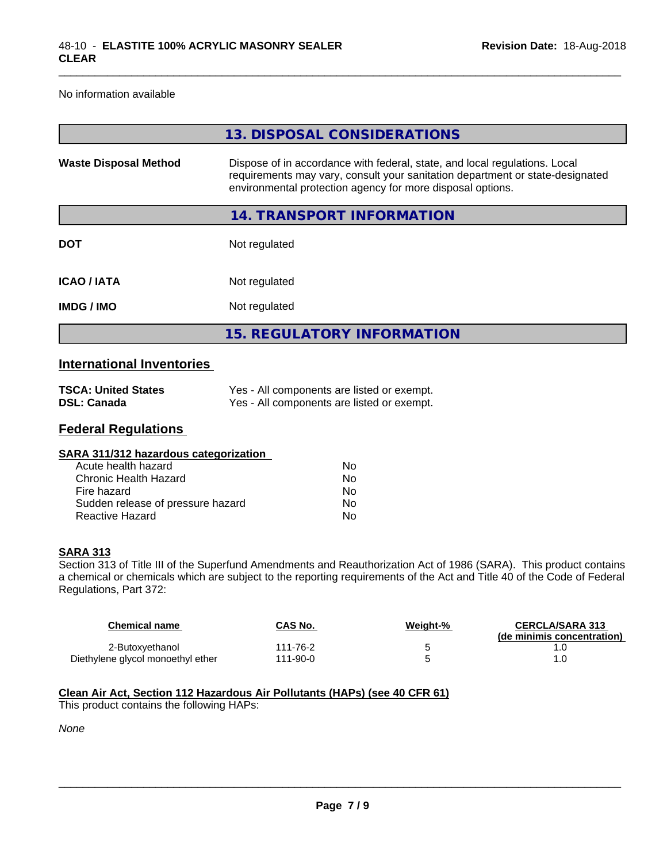#### No information available

|                              | 13. DISPOSAL CONSIDERATIONS                                                                                                                                                                                               |
|------------------------------|---------------------------------------------------------------------------------------------------------------------------------------------------------------------------------------------------------------------------|
| <b>Waste Disposal Method</b> | Dispose of in accordance with federal, state, and local regulations. Local<br>requirements may vary, consult your sanitation department or state-designated<br>environmental protection agency for more disposal options. |
|                              | 14. TRANSPORT INFORMATION                                                                                                                                                                                                 |
| <b>DOT</b>                   | Not regulated                                                                                                                                                                                                             |
| <b>ICAO/IATA</b>             | Not regulated                                                                                                                                                                                                             |
| <b>IMDG/IMO</b>              | Not regulated                                                                                                                                                                                                             |
|                              | <b>15. REGULATORY INFORMATION</b>                                                                                                                                                                                         |

\_\_\_\_\_\_\_\_\_\_\_\_\_\_\_\_\_\_\_\_\_\_\_\_\_\_\_\_\_\_\_\_\_\_\_\_\_\_\_\_\_\_\_\_\_\_\_\_\_\_\_\_\_\_\_\_\_\_\_\_\_\_\_\_\_\_\_\_\_\_\_\_\_\_\_\_\_\_\_\_\_\_\_\_\_\_\_\_\_\_\_\_\_

## **International Inventories**

| <b>TSCA: United States</b> | Yes - All components are listed or exempt. |
|----------------------------|--------------------------------------------|
| DSL: Canada                | Yes - All components are listed or exempt. |

### **Federal Regulations**

| Nο |  |
|----|--|
| Nο |  |
| Nο |  |
| No |  |
| No |  |
|    |  |

#### **SARA 313**

Section 313 of Title III of the Superfund Amendments and Reauthorization Act of 1986 (SARA). This product contains a chemical or chemicals which are subject to the reporting requirements of the Act and Title 40 of the Code of Federal Regulations, Part 372:

| <b>Chemical name</b>              | <b>CAS No.</b> | Weight-% | <b>CERCLA/SARA 313</b><br>(de minimis concentration) |
|-----------------------------------|----------------|----------|------------------------------------------------------|
| 2-Butoxyethanol                   | 111-76-2       |          |                                                      |
| Diethylene glycol monoethyl ether | 111-90-0       |          | .0                                                   |

### **Clean Air Act,Section 112 Hazardous Air Pollutants (HAPs) (see 40 CFR 61)**

This product contains the following HAPs:

*None*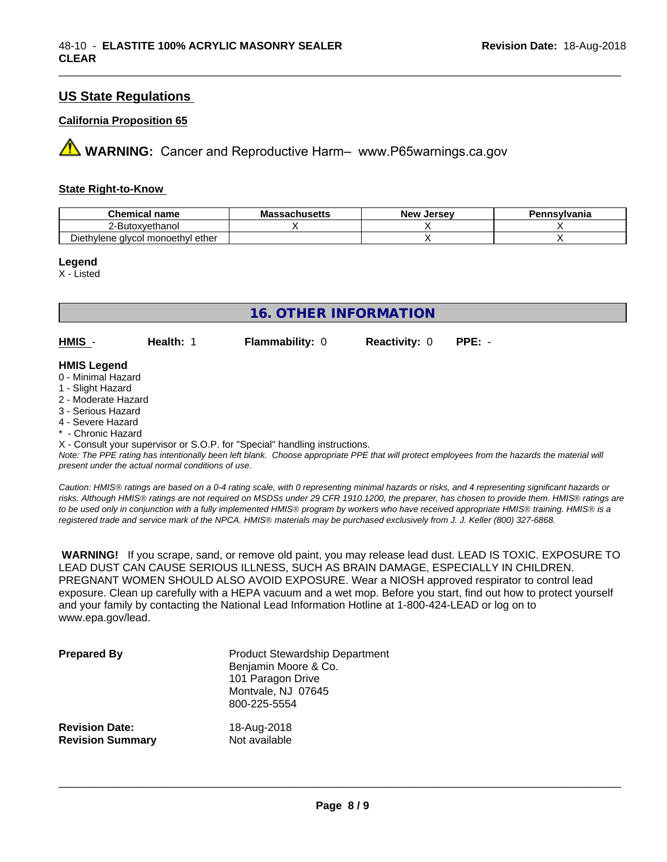# **US State Regulations**

#### **California Proposition 65**

**AVIMARNING:** Cancer and Reproductive Harm– www.P65warnings.ca.gov

#### **State Right-to-Know**

| <b>Chemical name</b>                        | <b>Massachusetts</b> | . Jersev<br>New | Pennsylvania |
|---------------------------------------------|----------------------|-----------------|--------------|
| ?-Butoxvethanol<br><u>.</u>                 |                      |                 |              |
| ether<br>∘ alvcol monoeth∨l ∈<br>Diethylene |                      |                 |              |

\_\_\_\_\_\_\_\_\_\_\_\_\_\_\_\_\_\_\_\_\_\_\_\_\_\_\_\_\_\_\_\_\_\_\_\_\_\_\_\_\_\_\_\_\_\_\_\_\_\_\_\_\_\_\_\_\_\_\_\_\_\_\_\_\_\_\_\_\_\_\_\_\_\_\_\_\_\_\_\_\_\_\_\_\_\_\_\_\_\_\_\_\_

#### **Legend**

X - Listed

|                    | 16. OTHER INFORMATION |                        |                             |  |  |  |  |
|--------------------|-----------------------|------------------------|-----------------------------|--|--|--|--|
| $HMIS -$           | Health: 1             | <b>Flammability: 0</b> | <b>Reactivity: 0 PPE: -</b> |  |  |  |  |
| <b>HMIS Legend</b> |                       |                        |                             |  |  |  |  |

#### 0 - Minimal Hazard

- 1 Slight Hazard
- 2 Moderate Hazard
- 3 Serious Hazard
- 4 Severe Hazard
- \* Chronic Hazard

X - Consult your supervisor or S.O.P. for "Special" handling instructions.

*Note: The PPE rating has intentionally been left blank. Choose appropriate PPE that will protect employees from the hazards the material will present under the actual normal conditions of use.*

*Caution: HMISÒ ratings are based on a 0-4 rating scale, with 0 representing minimal hazards or risks, and 4 representing significant hazards or risks. Although HMISÒ ratings are not required on MSDSs under 29 CFR 1910.1200, the preparer, has chosen to provide them. HMISÒ ratings are to be used only in conjunction with a fully implemented HMISÒ program by workers who have received appropriate HMISÒ training. HMISÒ is a registered trade and service mark of the NPCA. HMISÒ materials may be purchased exclusively from J. J. Keller (800) 327-6868.*

 **WARNING!** If you scrape, sand, or remove old paint, you may release lead dust. LEAD IS TOXIC. EXPOSURE TO LEAD DUST CAN CAUSE SERIOUS ILLNESS, SUCH AS BRAIN DAMAGE, ESPECIALLY IN CHILDREN. PREGNANT WOMEN SHOULD ALSO AVOID EXPOSURE.Wear a NIOSH approved respirator to control lead exposure. Clean up carefully with a HEPA vacuum and a wet mop. Before you start, find out how to protect yourself and your family by contacting the National Lead Information Hotline at 1-800-424-LEAD or log on to www.epa.gov/lead.

| <b>Prepared By</b>      | <b>Product Stewardship Department</b><br>Benjamin Moore & Co.<br>101 Paragon Drive<br>Montvale, NJ 07645<br>800-225-5554 |
|-------------------------|--------------------------------------------------------------------------------------------------------------------------|
| <b>Revision Date:</b>   | 18-Aug-2018                                                                                                              |
| <b>Revision Summary</b> | Not available                                                                                                            |